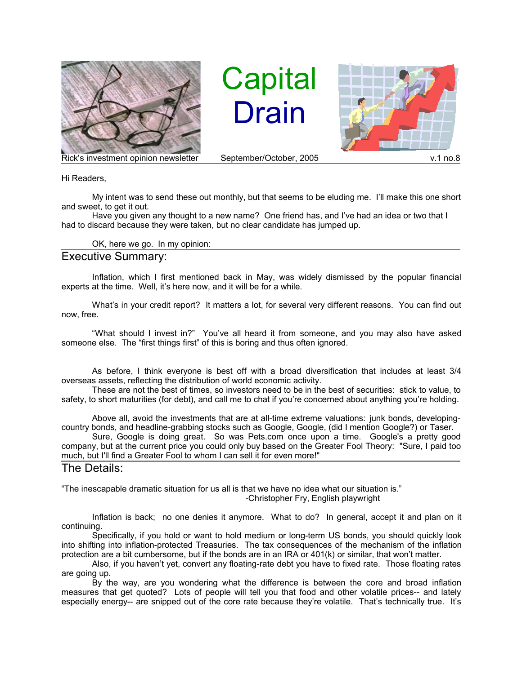

**Capital** Drain



Hi Readers,

My intent was to send these out monthly, but that seems to be eluding me. I'll make this one short and sweet, to get it out.

Have you given any thought to a new name? One friend has, and I've had an idea or two that I had to discard because they were taken, but no clear candidate has jumped up.

OK, here we go. In my opinion:

## Executive Summary:

Inflation, which I first mentioned back in May, was widely dismissed by the popular financial experts at the time. Well, it's here now, and it will be for a while.

What's in your credit report? It matters a lot, for several very different reasons. You can find out now, free.

"What should I invest in?" You've all heard it from someone, and you may also have asked someone else. The "first things first" of this is boring and thus often ignored.

As before, I think everyone is best off with a broad diversification that includes at least 3/4 overseas assets, reflecting the distribution of world economic activity.

These are not the best of times, so investors need to be in the best of securities: stick to value, to safety, to short maturities (for debt), and call me to chat if you're concerned about anything you're holding.

Above all, avoid the investments that are at all-time extreme valuations: junk bonds, developingcountry bonds, and headline-grabbing stocks such as Google, Google, (did I mention Google?) or Taser.

Sure, Google is doing great. So was Pets.com once upon a time. Google's a pretty good company, but at the current price you could only buy based on the Greater Fool Theory: "Sure, I paid too much, but I'll find a Greater Fool to whom I can sell it for even more!"

## The Details:

"The inescapable dramatic situation for us all is that we have no idea what our situation is."

-Christopher Fry, English playwright

Inflation is back; no one denies it anymore. What to do? In general, accept it and plan on it continuing.

Specifically, if you hold or want to hold medium or long-term US bonds, you should quickly look into shifting into inflation-protected Treasuries. The tax consequences of the mechanism of the inflation protection are a bit cumbersome, but if the bonds are in an IRA or 401(k) or similar, that won't matter.

Also, if you haven't yet, convert any floating-rate debt you have to fixed rate. Those floating rates are going up.

By the way, are you wondering what the difference is between the core and broad inflation measures that get quoted? Lots of people will tell you that food and other volatile prices-- and lately especially energy-- are snipped out of the core rate because they're volatile. That's technically true. It's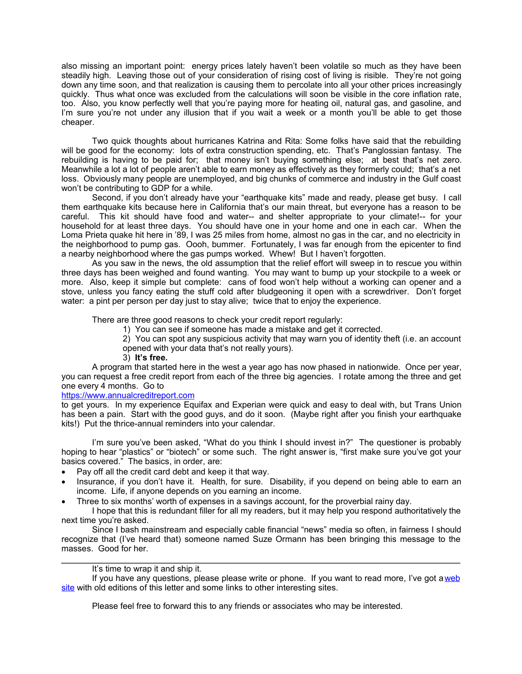also missing an important point: energy prices lately haven't been volatile so much as they have been steadily high. Leaving those out of your consideration of rising cost of living is risible. They're not going down any time soon, and that realization is causing them to percolate into all your other prices increasingly quickly. Thus what once was excluded from the calculations will soon be visible in the core inflation rate, too. Also, you know perfectly well that you're paying more for heating oil, natural gas, and gasoline, and I'm sure you're not under any illusion that if you wait a week or a month you'll be able to get those cheaper.

Two quick thoughts about hurricanes Katrina and Rita: Some folks have said that the rebuilding will be good for the economy: lots of extra construction spending, etc. That's Panglossian fantasy. The rebuilding is having to be paid for; that money isn't buying something else; at best that's net zero. Meanwhile a lot a lot of people aren't able to earn money as effectively as they formerly could; that's a net loss. Obviously many people are unemployed, and big chunks of commerce and industry in the Gulf coast won't be contributing to GDP for a while.

Second, if you don't already have your "earthquake kits" made and ready, please get busy. I call them earthquake kits because here in California that's our main threat, but everyone has a reason to be careful. This kit should have food and water-- and shelter appropriate to your climate!-- for your household for at least three days. You should have one in your home and one in each car. When the Loma Prieta quake hit here in '89, I was 25 miles from home, almost no gas in the car, and no electricity in the neighborhood to pump gas. Oooh, bummer. Fortunately, I was far enough from the epicenter to find a nearby neighborhood where the gas pumps worked. Whew! But I haven't forgotten.

As you saw in the news, the old assumption that the relief effort will sweep in to rescue you within three days has been weighed and found wanting. You may want to bump up your stockpile to a week or more. Also, keep it simple but complete: cans of food won't help without a working can opener and a stove, unless you fancy eating the stuff cold after bludgeoning it open with a screwdriver. Don't forget water: a pint per person per day just to stay alive; twice that to enjoy the experience.

There are three good reasons to check your credit report regularly:

- 1) You can see if someone has made a mistake and get it corrected.
- 2) You can spot any suspicious activity that may warn you of identity theft (i.e. an account opened with your data that's not really yours).
- 3) **It's free.**

A program that started here in the west a year ago has now phased in nationwide. Once per year, you can request a free credit report from each of the three big agencies. I rotate among the three and get one every 4 months. Go to

## https://www.annualcreditreport.com

to get yours. In my experience Equifax and Experian were quick and easy to deal with, but Trans Union has been a pain. Start with the good guys, and do it soon. (Maybe right after you finish your earthquake kits!) Put the thrice-annual reminders into your calendar.

I'm sure you've been asked, "What do you think I should invest in?" The questioner is probably hoping to hear "plastics" or "biotech" or some such. The right answer is, "first make sure you've got your basics covered." The basics, in order, are:

- Pay off all the credit card debt and keep it that way.
- Insurance, if you don't have it. Health, for sure. Disability, if you depend on being able to earn an income. Life, if anyone depends on you earning an income.
- Three to six months' worth of expenses in a savings account, for the proverbial rainy day.

I hope that this is redundant filler for all my readers, but it may help you respond authoritatively the next time you're asked.

Since I bash mainstream and especially cable financial "news" media so often, in fairness I should recognize that (I've heard that) someone named Suze Ormann has been bringing this message to the masses. Good for her.

## It's time to wrap it and ship it.

If you have any questions, please please write or phone. If you want to read more, I've got a web site with old editions of this letter and some links to other interesting sites.

Please feel free to forward this to any friends or associates who may be interested.